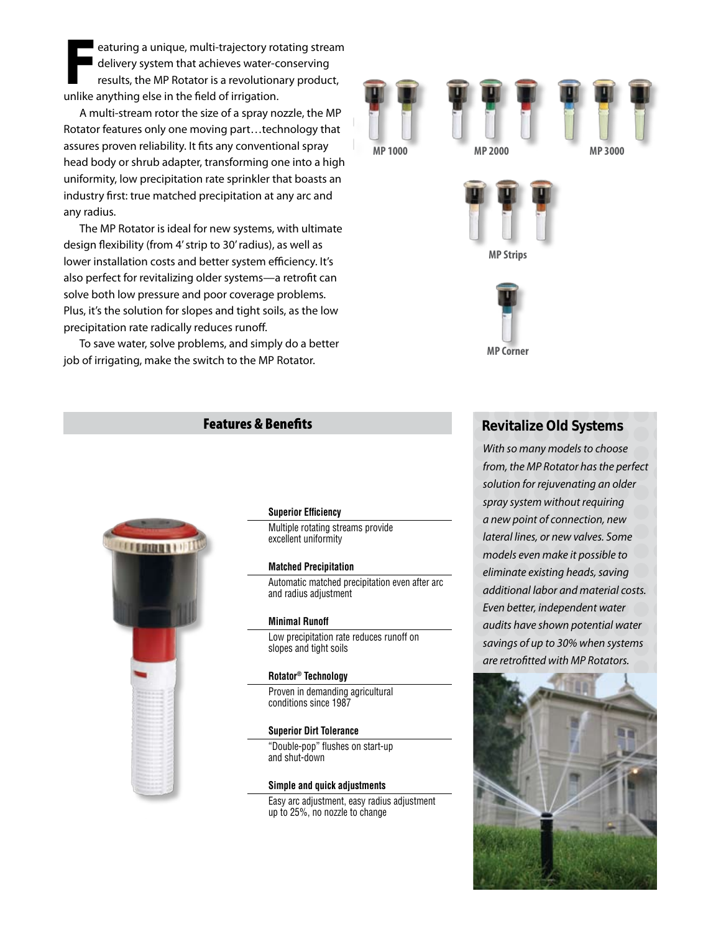**F**eaturing a unique, multi-trajectory rotating stream delivery system that achieves water-conserving results, the MP Rotator is a revolutionary product, unlike anything else in the field of irrigation.

A multi-stream rotor the size of a spray nozzle, the MP Rotator features only one moving part…technology that assures proven reliability. It fits any conventional spray head body or shrub adapter, transforming one into a high uniformity, low precipitation rate sprinkler that boasts an industry first: true matched precipitation at any arc and any radius.

The MP Rotator is ideal for new systems, with ultimate design flexibility (from 4' strip to 30' radius), as well as lower installation costs and better system efficiency. It's also perfect for revitalizing older systems—a retrofit can solve both low pressure and poor coverage problems. Plus, it's the solution for slopes and tight soils, as the low precipitation rate radically reduces runoff.

To save water, solve problems, and simply do a better job of irrigating, make the switch to the MP Rotator.



**MP Corner**

## Features & Benefits



#### **Superior Efficiency**

Multiple rotating streams provide excellent uniformity

#### **Matched Precipitation**

Automatic matched precipitation even after arc and radius adjustment

#### **Minimal Runoff**

Low precipitation rate reduces runoff on slopes and tight soils

#### **Rotator® Technology**

Proven in demanding agricultural conditions since 1987

#### **Superior Dirt Tolerance**

"Double-pop" flushes on start-up and shut-down

#### **Simple and quick adjustments**

Easy arc adjustment, easy radius adjustment up to 25%, no nozzle to change

## **Revitalize Old Systems**

*With so many models to choose from, the MP Rotator has the perfect solution for rejuvenating an older spray system without requiring a new point of connection, new lateral lines, or new valves. Some models even make it possible to eliminate existing heads, saving additional labor and material costs. Even better, independent water audits have shown potential water savings of up to 30% when systems are retrofitted with MP Rotators.*

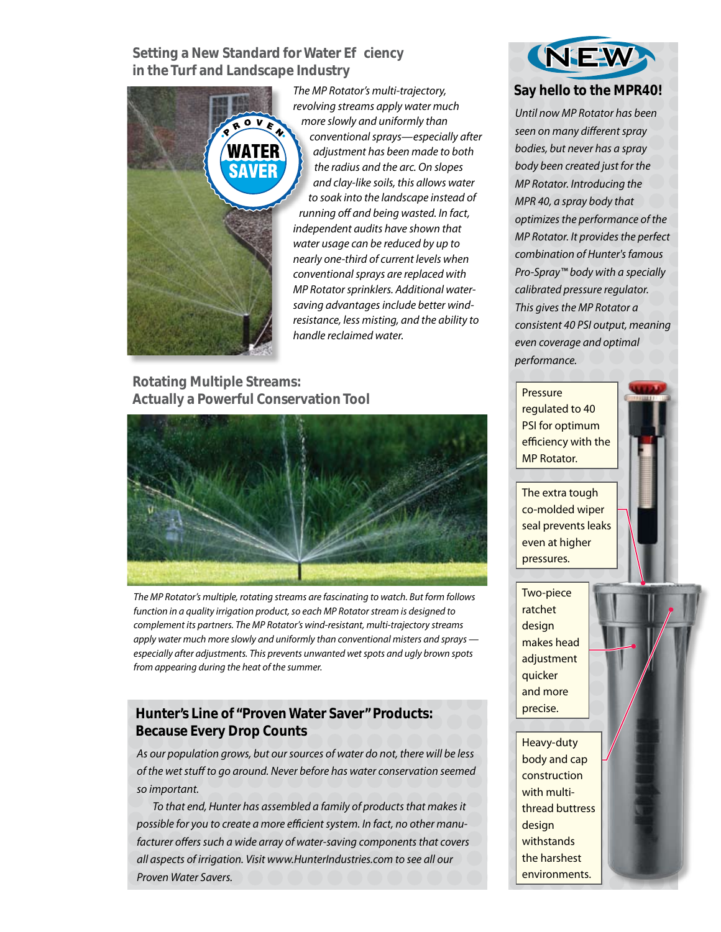**Setting a New Standard for Water E ciency in the Turf and Landscape Industry**



*The MP Rotator's multi-trajectory, revolving streams apply water much more slowly and uniformly than conventional sprays—especially after adjustment has been made to both the radius and the arc. On slopes and clay-like soils, this allows water to soak into the landscape instead of running off and being wasted. In fact, independent audits have shown that water usage can be reduced by up to nearly one-third of current levels when conventional sprays are replaced with MP Rotator sprinklers. Additional watersaving advantages include better windresistance, less misting, and the ability to handle reclaimed water.*

## **Rotating Multiple Streams: Actually a Powerful Conservation Tool**



*The MP Rotator's multiple, rotating streams are fascinating to watch. But form follows function in a quality irrigation product, so each MP Rotator stream is designed to complement its partners. The MP Rotator's wind-resistant, multi-trajectory streams apply water much more slowly and uniformly than conventional misters and sprays especially after adjustments. This prevents unwanted wet spots and ugly brown spots from appearing during the heat of the summer.*

# **Hunter's Line of "Proven Water Saver" Products: Because Every Drop Counts**

*As our population grows, but our sources of water do not, there will be less of the wet stuff to go around. Never before has water conservation seemed so important.*

*To that end, Hunter has assembled a family of products that makes it possible for you to create a more efficient system. In fact, no other manufacturer offers such a wide array of water-saving components that covers all aspects of irrigation. Visit www.HunterIndustries.com to see all our Proven Water Savers.*



*Until now MP Rotator has been seen on many different spray bodies, but never has a spray body been created just for the MP Rotator. Introducing the MPR 40, a spray body that optimizes the performance of the MP Rotator. It provides the perfect combination of Hunter's famous Pro-Spray™ body with a specially calibrated pressure regulator. This gives the MP Rotator a consistent 40 PSI output, meaning even coverage and optimal performance.*

Pressure regulated to 40 PSI for optimum efficiency with the MP Rotator.



The extra tough co-molded wiper seal prevents leaks even at higher pressures.

Two-piece ratchet design makes head adjustment quicker and more precise.

Heavy-duty body and cap construction with multithread buttress design withstands the harshest environments.

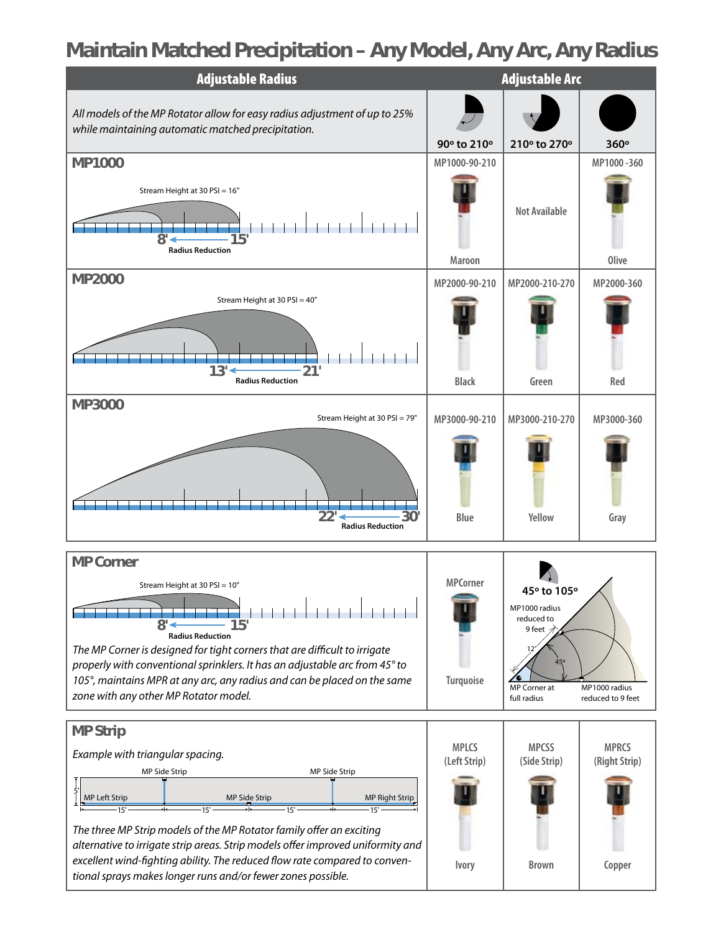# **Maintain Matched Precipitation – Any Model, Any Arc, Any Radius**

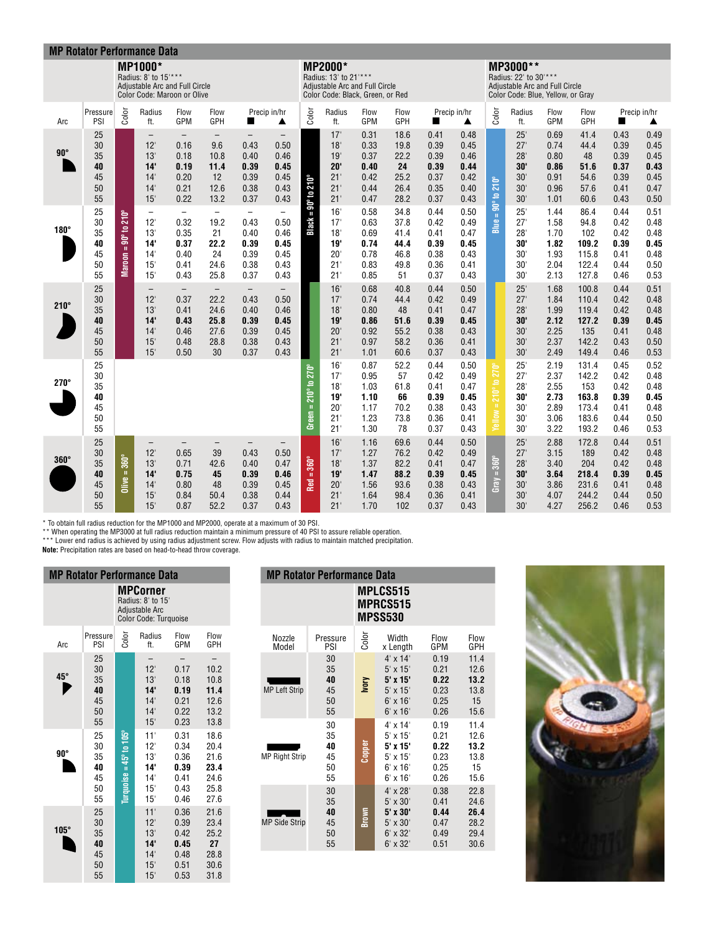| <b>MP Rotator Performance Data</b> |                                        |                              |                                                                                                         |                                                                          |                                                                       |                                                                          |                                                                          |                                        |                                                                                                               |                                                      |                                                     |                                                      |                                                      |                                |                                                                                                          |                                                      |                                                           |                                                      |                                                      |
|------------------------------------|----------------------------------------|------------------------------|---------------------------------------------------------------------------------------------------------|--------------------------------------------------------------------------|-----------------------------------------------------------------------|--------------------------------------------------------------------------|--------------------------------------------------------------------------|----------------------------------------|---------------------------------------------------------------------------------------------------------------|------------------------------------------------------|-----------------------------------------------------|------------------------------------------------------|------------------------------------------------------|--------------------------------|----------------------------------------------------------------------------------------------------------|------------------------------------------------------|-----------------------------------------------------------|------------------------------------------------------|------------------------------------------------------|
|                                    |                                        |                              | <b>MP1000*</b><br>Radius: 8' to 15'***<br>Adjustable Arc and Full Circle<br>Color Code: Maroon or Olive |                                                                          |                                                                       |                                                                          |                                                                          |                                        | <b>MP2000*</b><br>Radius: 13' to 21'***<br>Adjustable Arc and Full Circle<br>Color Code: Black, Green, or Red |                                                      |                                                     |                                                      |                                                      |                                | MP3000**<br>Radius: 22' to 30'***<br>Adjustable Arc and Full Circle<br>Color Code: Blue, Yellow, or Gray |                                                      |                                                           |                                                      |                                                      |
| Arc                                | Pressure<br>PSI                        | Color                        | Radius<br>ft.                                                                                           | Flow<br>GPM                                                              | Flow<br>GPH                                                           |                                                                          | Precip in/hr<br>▲                                                        | Color                                  | Radius<br>ft.                                                                                                 | Flow<br>GPM                                          | Flow<br>GPH                                         | Precip in/hr<br>H                                    | ▲                                                    | Color                          | Radius<br>ft.                                                                                            | Flow<br>GPM                                          | Flow<br>GPH                                               |                                                      | Precip in/hr<br>▲                                    |
| $90^\circ$                         | 25<br>30<br>35<br>40<br>45<br>50<br>55 |                              | $\qquad \qquad -$<br>12'<br>13'<br>14'<br>14'<br>14'<br>15'                                             | $\overline{\phantom{m}}$<br>0.16<br>0.18<br>0.19<br>0.20<br>0.21<br>0.22 | $\overline{\phantom{m}}$<br>9.6<br>10.8<br>11.4<br>12<br>12.6<br>13.2 | $\overline{\phantom{m}}$<br>0.43<br>0.40<br>0.39<br>0.39<br>0.38<br>0.37 | $\qquad \qquad -$<br>0.50<br>0.46<br>0.45<br>0.45<br>0.43<br>0.43        | $=90^\circ$ to $210^\circ$             | 17'<br>18'<br>19'<br>20'<br>21'<br>21'<br>21'                                                                 | 0.31<br>0.33<br>0.37<br>0.40<br>0.42<br>0.44<br>0.47 | 18.6<br>19.8<br>22.2<br>24<br>25.2<br>26.4<br>28.2  | 0.41<br>0.39<br>0.39<br>0.39<br>0.37<br>0.35<br>0.37 | 0.48<br>0.45<br>0.46<br>0.44<br>0.42<br>0.40<br>0.43 | $210^{\circ}$<br>$90^\circ 10$ | 25'<br>27'<br>28'<br>30'<br>30'<br>30'<br>30'                                                            | 0.69<br>0.74<br>0.80<br>0.86<br>0.91<br>0.96<br>1.01 | 41.4<br>44.4<br>48<br>51.6<br>54.6<br>57.6<br>60.6        | 0.43<br>0.39<br>0.39<br>0.37<br>0.39<br>0.41<br>0.43 | 0.49<br>0.45<br>0.45<br>0.43<br>0.45<br>0.47<br>0.50 |
| $180^\circ$                        | 25<br>30<br>35<br>40<br>45<br>50<br>55 | 90° to 210°<br>$Maron =$     | $\overline{\phantom{0}}$<br>12'<br>13'<br>14'<br>14'<br>15<br>15                                        | $\equiv$<br>0.32<br>0.35<br>0.37<br>0.40<br>0.41<br>0.43                 | $\equiv$<br>19.2<br>21<br>22.2<br>24<br>24.6<br>25.8                  | $\equiv$<br>0.43<br>0.40<br>0.39<br>0.39<br>0.38<br>0.37                 | $\overline{\phantom{0}}$<br>0.50<br>0.46<br>0.45<br>0.45<br>0.43<br>0.43 | Black:                                 | 16'<br>17'<br>18'<br>19'<br>$20^{\circ}$<br>21'<br>21'                                                        | 0.58<br>0.63<br>0.69<br>0.74<br>0.78<br>0.83<br>0.85 | 34.8<br>37.8<br>41.4<br>44.4<br>46.8<br>49.8<br>51  | 0.44<br>0.42<br>0.41<br>0.39<br>0.38<br>0.36<br>0.37 | 0.50<br>0.49<br>0.47<br>0.45<br>0.43<br>0.41<br>0.43 | $Blue =$                       | 25'<br>27'<br>28'<br>30'<br>30'<br>30'<br>30'                                                            | 1.44<br>1.58<br>1.70<br>1.82<br>1.93<br>2.04<br>2.13 | 86.4<br>94.8<br>102<br>109.2<br>115.8<br>122.4<br>127.8   | 0.44<br>0.42<br>0.42<br>0.39<br>0.41<br>0.44<br>0.46 | 0.51<br>0.48<br>0.48<br>0.45<br>0.48<br>0.50<br>0.53 |
| $210^\circ$                        | 25<br>30<br>35<br>40<br>45<br>50<br>55 |                              | $\overline{\phantom{0}}$<br>12'<br>13'<br>14'<br>14<br>15<br>15'                                        | $\overline{\phantom{m}}$<br>0.37<br>0.41<br>0.43<br>0.46<br>0.48<br>0.50 | $\qquad \qquad -$<br>22.2<br>24.6<br>25.8<br>27.6<br>28.8<br>30       | $\qquad \qquad -$<br>0.43<br>0.40<br>0.39<br>0.39<br>0.38<br>0.37        | $\overline{\phantom{0}}$<br>0.50<br>0.46<br>0.45<br>0.45<br>0.43<br>0.43 |                                        | 16'<br>17'<br>18'<br>19'<br>$20^{\circ}$<br>21'<br>21'                                                        | 0.68<br>0.74<br>0.80<br>0.86<br>0.92<br>0.97<br>1.01 | 40.8<br>44.4<br>48<br>51.6<br>55.2<br>58.2<br>60.6  | 0.44<br>0.42<br>0.41<br>0.39<br>0.38<br>0.36<br>0.37 | 0.50<br>0.49<br>0.47<br>0.45<br>0.43<br>0.41<br>0.43 |                                | 25'<br>27'<br>28'<br>30'<br>30'<br>30'<br>30'                                                            | 1.68<br>1.84<br>1.99<br>2.12<br>2.25<br>2.37<br>2.49 | 100.8<br>110.4<br>119.4<br>127.2<br>135<br>142.2<br>149.4 | 0.44<br>0.42<br>0.42<br>0.39<br>0.41<br>0.43<br>0.46 | 0.51<br>0.48<br>0.48<br>0.45<br>0.48<br>0.50<br>0.53 |
| $270^\circ$                        | 25<br>30<br>35<br>40<br>45<br>50<br>55 |                              |                                                                                                         |                                                                          |                                                                       |                                                                          |                                                                          | Green = $210^{\circ}$ to $270^{\circ}$ | 16'<br>17'<br>18'<br>19'<br>$20^{\circ}$<br>21'<br>21'                                                        | 0.87<br>0.95<br>1.03<br>1.10<br>1.17<br>1.23<br>1.30 | 52.2<br>57<br>61.8<br>66<br>70.2<br>73.8<br>78      | 0.44<br>0.42<br>0.41<br>0.39<br>0.38<br>0.36<br>0.37 | 0.50<br>0.49<br>0.47<br>0.45<br>0.43<br>0.41<br>0.43 | 210° to 270°<br>$Yellow =$     | 25'<br>27'<br>28'<br>30'<br>30'<br>30'<br>30'                                                            | 2.19<br>2.37<br>2.55<br>2.73<br>2.89<br>3.06<br>3.22 | 131.4<br>142.2<br>153<br>163.8<br>173.4<br>183.6<br>193.2 | 0.45<br>0.42<br>0.42<br>0.39<br>0.41<br>0.44<br>0.46 | 0.52<br>0.48<br>0.48<br>0.45<br>0.48<br>0.50<br>0.53 |
| $360^\circ$                        | 25<br>30<br>35<br>40<br>45<br>50<br>55 | $=360^\circ$<br><b>Olive</b> | $\overline{\phantom{0}}$<br>12'<br>13'<br>14'<br>14<br>15'<br>15'                                       | $=$<br>0.65<br>0.71<br>0.75<br>0.80<br>0.84<br>0.87                      | 39<br>42.6<br>45<br>48<br>50.4<br>52.2                                | $\qquad \qquad -$<br>0.43<br>0.40<br>0.39<br>0.39<br>0.38<br>0.37        | $-$<br>0.50<br>0.47<br>0.46<br>0.45<br>0.44<br>0.43                      | $Red = 360°$                           | 16'<br>17'<br>18'<br>19'<br>$20^{\circ}$<br>21'<br>21'                                                        | 1.16<br>1.27<br>1.37<br>1.47<br>1.56<br>1.64<br>1.70 | 69.6<br>76.2<br>82.2<br>88.2<br>93.6<br>98.4<br>102 | 0.44<br>0.42<br>0.41<br>0.39<br>0.38<br>0.36<br>0.37 | 0.50<br>0.49<br>0.47<br>0.45<br>0.43<br>0.41<br>0.43 | Gray = $360^\circ$             | 25'<br>27'<br>28'<br>30'<br>30'<br>30'<br>30                                                             | 2.88<br>3.15<br>3.40<br>3.64<br>3.86<br>4.07<br>4.27 | 172.8<br>189<br>204<br>218.4<br>231.6<br>244.2<br>256.2   | 0.44<br>0.42<br>0.42<br>0.39<br>0.41<br>0.44<br>0.46 | 0.51<br>0.48<br>0.48<br>0.45<br>0.48<br>0.50<br>0.53 |

\* To obtain full radius reduction for the MP1000 and MP2000, operate at a maximum of 30 PSI.<br>\*\* When operating the MP3000 at full radius reduction maintain a minimum pressure of 40 PSI to assure reliable operation.<br>\*\*\* Low

| <b>MP Rotator Performance Data</b> |                                        |                                |                                                                                 |                                                      |                                                      |
|------------------------------------|----------------------------------------|--------------------------------|---------------------------------------------------------------------------------|------------------------------------------------------|------------------------------------------------------|
|                                    |                                        |                                | <b>MPCorner</b><br>Radius: 8' to 15'<br>Adjustable Arc<br>Color Code: Turquoise |                                                      |                                                      |
| Arc                                | Pressure<br>PSI                        | Color                          | Radius<br>ft.                                                                   | Flow<br><b>GPM</b>                                   | Flow<br>GPH                                          |
| 45°                                | 25<br>30<br>35<br>40<br>45<br>50<br>55 |                                | 12'<br>13'<br>14'<br>14'<br>14'<br>15'                                          | 0.17<br>0.18<br>0.19<br>0.21<br>0.22<br>0.23         | 10.2<br>10.8<br>11.4<br>12.6<br>13.2<br>13.8         |
| 90°                                | 25<br>30<br>35<br>40<br>45<br>50<br>55 | $Iurquoise = 45^\circ$ to 105° | 11'<br>12'<br>13'<br>14'<br>14'<br>15'<br>15 <sup>1</sup>                       | 0.31<br>0.34<br>0.36<br>0.39<br>0.41<br>0.43<br>0.46 | 18.6<br>20.4<br>21.6<br>23.4<br>24.6<br>25.8<br>27.6 |
| $105^\circ$                        | 25<br>30<br>35<br>40<br>45<br>50<br>55 |                                | 11'<br>12'<br>13'<br>14'<br>14'<br>15'<br>15'                                   | 0.36<br>0.39<br>0.42<br>0.45<br>0.48<br>0.51<br>0.53 | 21.6<br>23.4<br>25.2<br>27<br>28.8<br>30.6<br>31.8   |

| <b>MP Rotator Performance Data</b> |                                  |                                                      |                                                                                                         |                                              |                                              |  |  |  |
|------------------------------------|----------------------------------|------------------------------------------------------|---------------------------------------------------------------------------------------------------------|----------------------------------------------|----------------------------------------------|--|--|--|
|                                    |                                  | <b>MPLCS515</b><br><b>MPRCS515</b><br><b>MPSS530</b> |                                                                                                         |                                              |                                              |  |  |  |
| Nozzle<br>Model                    | Pressure<br>PSI                  | Color                                                | Width<br>x Length                                                                                       | Flow<br>GPM                                  | Flow<br>GPH                                  |  |  |  |
| <b>MP Left Strip</b>               | 30<br>35<br>40<br>45<br>50<br>55 | Now                                                  | $4' \times 14'$<br>$5' \times 15'$<br>5' x 15'<br>$5'$ x $15'$<br>$6'$ x 16'<br>$6'$ x 16'              | 0.19<br>0.21<br>0.22<br>0.23<br>0.25<br>0.26 | 11.4<br>12.6<br>13.2<br>13.8<br>15<br>15.6   |  |  |  |
| <b>MP Right Strip</b>              | 30<br>35<br>40<br>45<br>50<br>55 | <b>Copper</b>                                        | $4' \times 14'$<br>$5'$ x 15'<br>5' x 15'<br>$5'$ x 15'<br>$6' \times 16'$<br>$6'$ x 16'                | 0.19<br>0.21<br>0.22<br>0.23<br>0.25<br>0.26 | 11.4<br>12.6<br>13.2<br>13.8<br>15<br>15.6   |  |  |  |
| <b>MP Side Strip</b>               | 30<br>35<br>40<br>45<br>50<br>55 | Brown                                                | $4' \times 28'$<br>$5' \times 30'$<br>5' x 30'<br>$5' \times 30'$<br>$6' \times 32'$<br>$6' \times 32'$ | 0.38<br>0.41<br>0.44<br>0.47<br>0.49<br>0.51 | 22.8<br>24.6<br>26.4<br>28.2<br>29.4<br>30.6 |  |  |  |